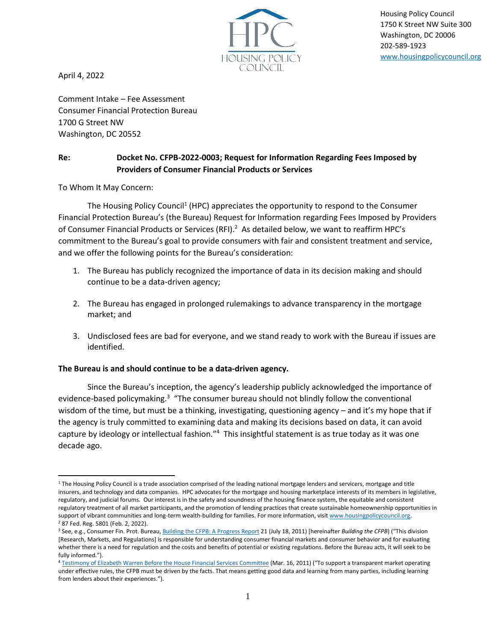

Housing Policy Council 1750 K Street NW Suite 300 Washington, DC 20006 202-589-1923 [www.housingpolicycouncil.org](http://www.housingpolicycouncil.org/)

April 4, 2022

Comment Intake – Fee Assessment Consumer Financial Protection Bureau 1700 G Street NW Washington, DC 20552

## **Re: Docket No. CFPB-2022-0003; Request for Information Regarding Fees Imposed by Providers of Consumer Financial Products or Services**

To Whom It May Concern:

The Housing Policy Council<sup>1</sup> (HPC) appreciates the opportunity to respond to the Consumer Financial Protection Bureau's (the Bureau) Request for Information regarding Fees Imposed by Providers of Consumer Financial Products or Services (RFI).<sup>2</sup> As detailed below, we want to reaffirm HPC's commitment to the Bureau's goal to provide consumers with fair and consistent treatment and service, and we offer the following points for the Bureau's consideration:

- 1. The Bureau has publicly recognized the importance of data in its decision making and should continue to be a data-driven agency;
- 2. The Bureau has engaged in prolonged rulemakings to advance transparency in the mortgage market; and
- 3. Undisclosed fees are bad for everyone, and we stand ready to work with the Bureau if issues are identified.

## **The Bureau is and should continue to be a data-driven agency.**

Since the Bureau's inception, the agency's leadership publicly acknowledged the importance of evidence-based policymaking.<sup>3</sup> "The consumer bureau should not blindly follow the conventional wisdom of the time, but must be a thinking, investigating, questioning agency – and it's my hope that if the agency is truly committed to examining data and making its decisions based on data, it can avoid capture by ideology or intellectual fashion."<sup>4</sup> This insightful statement is as true today as it was one decade ago.

<sup>&</sup>lt;sup>1</sup> The Housing Policy Council is a trade association comprised of the leading national mortgage lenders and servicers, mortgage and title insurers, and technology and data companies. HPC advocates for the mortgage and housing marketplace interests of its members in legislative, regulatory, and judicial forums. Our interest is in the safety and soundness of the housing finance system, the equitable and consistent regulatory treatment of all market participants, and the promotion of lending practices that create sustainable homeownership opportunities in support of vibrant communities and long-term wealth-building for families. For more information, visi[t www.housingpolicycouncil.org.](http://www.housingpolicycouncil.org/) <sup>2</sup> 87 Fed. Reg. 5801 (Feb. 2, 2022).

<sup>3</sup> See, e.g., Consumer Fin. Prot. Bureau[, Building the CFPB: A Progress Report](https://files.consumerfinance.gov/f/2011/07/Report_BuildingTheCfpb1.pdf) 21 (July 18, 2011) [hereinafter *Building the CFPB*) ("This division [Research, Markets, and Regulations] is responsible for understanding consumer financial markets and consumer behavior and for evaluating whether there is a need for regulation and the costs and benefits of potential or existing regulations. Before the Bureau acts, it will seek to be fully informed.").

<sup>&</sup>lt;sup>4</sup> [Testimony of Elizabeth Warren Before the House Financial Services Committee](https://www.consumerfinance.gov/about-us/newsroom/testimony-of-elizabeth-warren-before-the-house-financial-services-committee-2/) (Mar. 16, 2011) ("To support a transparent market operating under effective rules, the CFPB must be driven by the facts. That means getting good data and learning from many parties, including learning from lenders about their experiences.").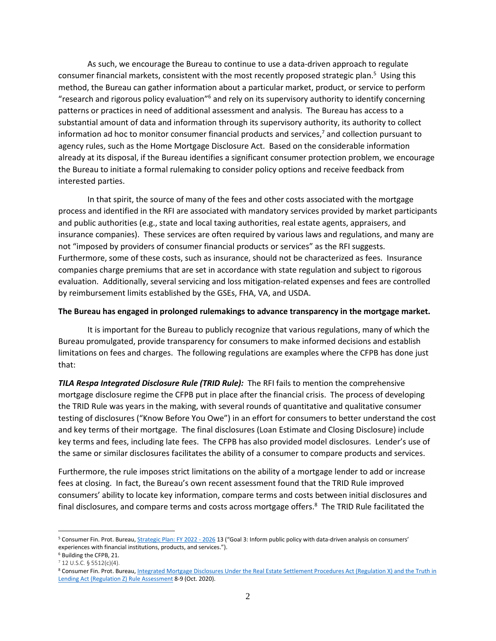As such, we encourage the Bureau to continue to use a data-driven approach to regulate consumer financial markets, consistent with the most recently proposed strategic plan.<sup>5</sup> Using this method, the Bureau can gather information about a particular market, product, or service to perform "research and rigorous policy evaluation"<sup>6</sup> and rely on its supervisory authority to identify concerning patterns or practices in need of additional assessment and analysis. The Bureau has access to a substantial amount of data and information through its supervisory authority, its authority to collect information ad hoc to monitor consumer financial products and services, $\frac{7}{1}$  and collection pursuant to agency rules, such as the Home Mortgage Disclosure Act. Based on the considerable information already at its disposal, if the Bureau identifies a significant consumer protection problem, we encourage the Bureau to initiate a formal rulemaking to consider policy options and receive feedback from interested parties.

In that spirit, the source of many of the fees and other costs associated with the mortgage process and identified in the RFI are associated with mandatory services provided by market participants and public authorities (e.g., state and local taxing authorities, real estate agents, appraisers, and insurance companies). These services are often required by various laws and regulations, and many are not "imposed by providers of consumer financial products or services" as the RFI suggests. Furthermore, some of these costs, such as insurance, should not be characterized as fees. Insurance companies charge premiums that are set in accordance with state regulation and subject to rigorous evaluation. Additionally, several servicing and loss mitigation-related expenses and fees are controlled by reimbursement limits established by the GSEs, FHA, VA, and USDA.

## **The Bureau has engaged in prolonged rulemakings to advance transparency in the mortgage market.**

It is important for the Bureau to publicly recognize that various regulations, many of which the Bureau promulgated, provide transparency for consumers to make informed decisions and establish limitations on fees and charges. The following regulations are examples where the CFPB has done just that:

*TILA Respa Integrated Disclosure Rule (TRID Rule):* The RFI fails to mention the comprehensive mortgage disclosure regime the CFPB put in place after the financial crisis. The process of developing the TRID Rule was years in the making, with several rounds of quantitative and qualitative consumer testing of disclosures ("Know Before You Owe") in an effort for consumers to better understand the cost and key terms of their mortgage. The final disclosures (Loan Estimate and Closing Disclosure) include key terms and fees, including late fees. The CFPB has also provided model disclosures. Lender's use of the same or similar disclosures facilitates the ability of a consumer to compare products and services.

Furthermore, the rule imposes strict limitations on the ability of a mortgage lender to add or increase fees at closing. In fact, the Bureau's own recent assessment found that the TRID Rule improved consumers' ability to locate key information, compare terms and costs between initial disclosures and final disclosures, and compare terms and costs across mortgage offers.<sup>8</sup> The TRID Rule facilitated the

<sup>&</sup>lt;sup>5</sup> Consumer Fin. Prot. Bureau[, Strategic Plan: FY 2022 -](https://files.consumerfinance.gov/f/documents/cfpb_draft-strategic-plan_fy-2022-2026.pdf) 2026 13 ("Goal 3: Inform public policy with data-driven analysis on consumers' experiences with financial institutions, products, and services.").

<sup>6</sup> Building the CFPB, 21.

<sup>7</sup> 12 U.S.C. § 5512(c)(4).

<sup>8</sup> Consumer Fin. Prot. Bureau, Integrated Mortgage Disclosures Under the Real Estate Settlement Procedures Act (Regulation X) and the Truth in [Lending Act \(Regulation Z\) Rule Assessment](https://files.consumerfinance.gov/f/documents/cfpb_trid-rule-assessment_report.pdf) 8-9 (Oct. 2020).